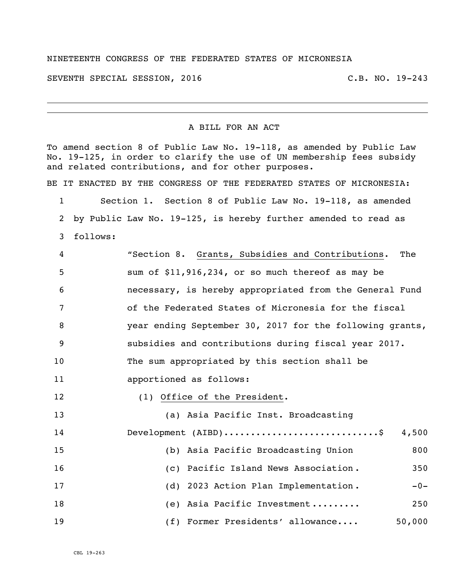## NINETEENTH CONGRESS OF THE FEDERATED STATES OF MICRONESIA

SEVENTH SPECIAL SESSION, 2016 C.B. NO. 19-243

## A BILL FOR AN ACT

To amend section 8 of Public Law No. 19-118, as amended by Public Law No. 19-125, in order to clarify the use of UN membership fees subsidy and related contributions, and for other purposes. BE IT ENACTED BY THE CONGRESS OF THE FEDERATED STATES OF MICRONESIA: Section 1. Section 8 of Public Law No. 19-118, as amended by Public Law No. 19-125, is hereby further amended to read as follows: "Section 8. Grants, Subsidies and Contributions. The sum of \$11,916,234**,** or so much thereof as may be necessary, is hereby appropriated from the General Fund of the Federated States of Micronesia for the fiscal year ending September 30, 2017 for the following grants, subsidies and contributions during fiscal year 2017. The sum appropriated by this section shall be apportioned as follows: 12 (1) Office of the President. (a) Asia Pacific Inst. Broadcasting Development (AIBD).............................\$ 4,500 (b) Asia Pacific Broadcasting Union 800 (c) Pacific Island News Association . 350 17 (d) 2023 Action Plan Implementation . -0-18 (e) Asia Pacific Investment ......... 250 19 (f) Former Presidents' allowance.... 50,000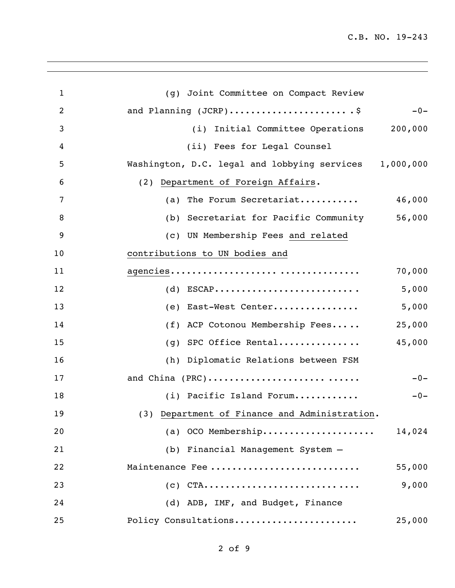C.B. NO. 19-243

| $\mathbf{1}$   | (g) Joint Committee on Compact Review                  |        |
|----------------|--------------------------------------------------------|--------|
| $\overline{2}$ | and Planning (JCRP)\$                                  | $-0-$  |
| 3              | (i) Initial Committee Operations 200,000               |        |
| 4              | (ii) Fees for Legal Counsel                            |        |
| 5              | Washington, D.C. legal and lobbying services 1,000,000 |        |
| 6              | (2) Department of Foreign Affairs.                     |        |
| 7              | (a) The Forum Secretariat                              | 46,000 |
| 8              | (b) Secretariat for Pacific Community                  | 56,000 |
| 9              | (c) UN Membership Fees and related                     |        |
| 10             | contributions to UN bodies and                         |        |
| 11             |                                                        | 70,000 |
| 12             | $(d)$ ESCAP                                            | 5,000  |
| 13             | (e) East-West Center                                   | 5,000  |
| 14             | (f) ACP Cotonou Membership Fees                        | 25,000 |
| 15             | (g) SPC Office Rental                                  | 45,000 |
| 16             | (h) Diplomatic Relations between FSM                   |        |
| 17             | and China (PRC)                                        | $-0-$  |
| 18             | (i) Pacific Island Forum                               | $-0-$  |
| 19             | (3) Department of Finance and Administration.          |        |
| 20             | (a) OCO Membership                                     | 14,024 |
| 21             | (b) Financial Management System -                      |        |
| 22             | Maintenance Fee                                        | 55,000 |
| 23             | $(C)$ CTA                                              | 9,000  |
| 24             | (d) ADB, IMF, and Budget, Finance                      |        |
| 25             | Policy Consultations                                   | 25,000 |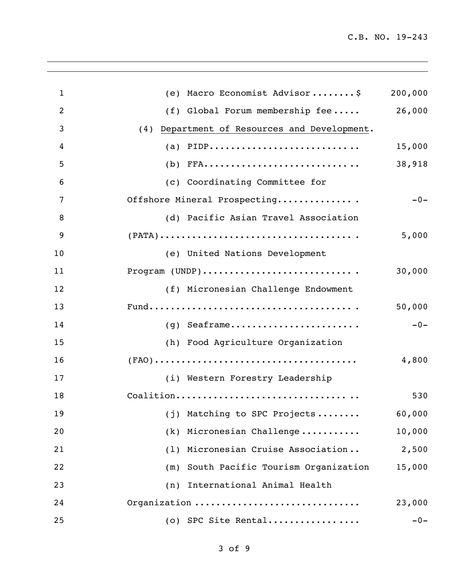| $\mathbf{1}$ | (e) Macro Economist Advisor\$                                                          | 200,000 |
|--------------|----------------------------------------------------------------------------------------|---------|
| 2            | $(f)$ Global Forum membership fee                                                      | 26,000  |
| 3            | (4) Department of Resources and Development.                                           |         |
| 4            | (a) $PIDP$                                                                             | 15,000  |
| 5            | $(b)$ FFA                                                                              | 38,918  |
| 6            | (c) Coordinating Committee for                                                         |         |
| 7            | Offshore Mineral Prospecting                                                           | $-0-$   |
| 8            | (d) Pacific Asian Travel Association                                                   |         |
| 9            | $(PATA) \dots \dots \dots \dots \dots \dots \dots \dots \dots \dots \dots \dots \dots$ | 5,000   |
| 10           | (e) United Nations Development                                                         |         |
| 11           | Program (UNDP)                                                                         | 30,000  |
| 12           | (f) Micronesian Challenge Endowment                                                    |         |
| 13           |                                                                                        | 50,000  |
| 14           | $(g)$ Seaframe                                                                         | $-0-$   |
| 15           | (h) Food Agriculture Organization                                                      |         |
| 16           |                                                                                        | 4,800   |
| 17           | (i) Western Forestry Leadership                                                        |         |
| 18           | Coalition                                                                              | 530     |
| 19           | (j) Matching to SPC Projects                                                           | 60,000  |
| 20           | Micronesian Challenge<br>(k)                                                           | 10,000  |
| 21           | Micronesian Cruise Association<br>(1)                                                  | 2,500   |
| 22           | (m) South Pacific Tourism Organization                                                 | 15,000  |
| 23           | International Animal Health<br>(n)                                                     |         |
| 24           | Organization                                                                           | 23,000  |
| 25           | (o) SPC Site Rental                                                                    | $-0-$   |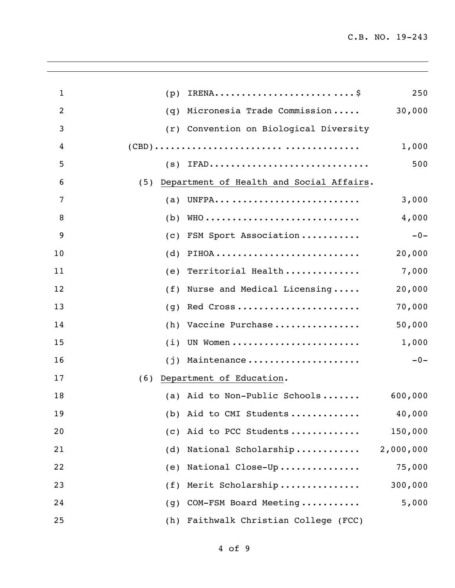| $\mathbf{1}$   | (p) |                                          | 250       |
|----------------|-----|------------------------------------------|-----------|
| $\overline{2}$ | (q) | Micronesia Trade Commission              | 30,000    |
| 3              |     | (r) Convention on Biological Diversity   |           |
| 4              |     |                                          | 1,000     |
| 5              |     | $(s)$ IFAD                               | 500       |
| 6              | (5) | Department of Health and Social Affairs. |           |
| 7              | (a) | UNFPA                                    | 3,000     |
| 8              | (b) |                                          | 4,000     |
| 9              | (C) | FSM Sport Association                    | $-0-$     |
| 10             | (d) | PIHOA                                    | 20,000    |
| 11             | (e) | Territorial Health                       | 7,000     |
| 12             | (f) | Nurse and Medical Licensing              | 20,000    |
| 13             | (q) | Red Cross                                | 70,000    |
| 14             | (h) | Vaccine Purchase                         | 50,000    |
| 15             | (i) | UN Women                                 | 1,000     |
| 16             | (i) | Maintenance                              | $-0-$     |
| 17             | (6) | Department of Education.                 |           |
| 18             |     | (a) Aid to Non-Public Schools            | 600,000   |
| 19             |     | (b) Aid to CMI Students                  | 40,000    |
| 20             |     | (c) Aid to PCC Students                  | 150,000   |
| 21             |     | (d) National Scholarship                 | 2,000,000 |
| 22             | (e) | National Close-Up                        | 75,000    |
| 23             | (f) | Merit Scholarship                        | 300,000   |
| 24             | (g) | COM-FSM Board Meeting                    | 5,000     |
| 25             | (h) | Faithwalk Christian College (FCC)        |           |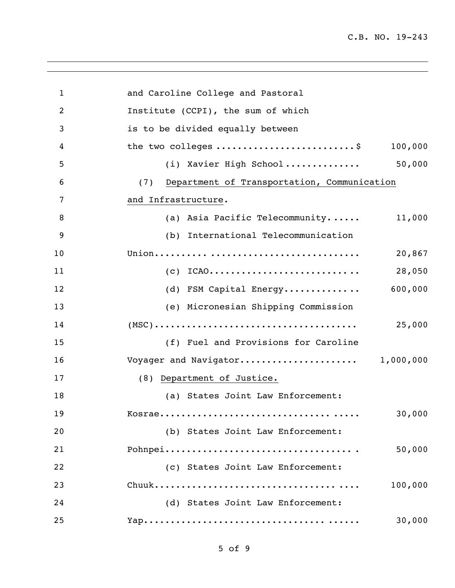| $\mathbf{1}$   | and Caroline College and Pastoral                                                                            |  |  |
|----------------|--------------------------------------------------------------------------------------------------------------|--|--|
| $\overline{2}$ | Institute (CCPI), the sum of which                                                                           |  |  |
| 3              | is to be divided equally between                                                                             |  |  |
| 4              | the two colleges \$<br>100,000                                                                               |  |  |
| 5              | 50,000<br>(i) Xavier High School                                                                             |  |  |
| 6              | Department of Transportation, Communication<br>(7)                                                           |  |  |
| 7              | and Infrastructure.                                                                                          |  |  |
| 8              | (a) Asia Pacific Telecommunity<br>11,000                                                                     |  |  |
| 9              | (b) International Telecommunication                                                                          |  |  |
| 10             | 20,867                                                                                                       |  |  |
| 11             | $(c)$ ICAO<br>28,050                                                                                         |  |  |
| 12             | 600,000<br>(d) FSM Capital Energy                                                                            |  |  |
| 13             | (e) Micronesian Shipping Commission                                                                          |  |  |
| 14             | $(MSC) \ldots \ldots \ldots \ldots \ldots \ldots \ldots \ldots \ldots \ldots \ldots \ldots \ldots$<br>25,000 |  |  |
| 15             | (f) Fuel and Provisions for Caroline                                                                         |  |  |
| 16             | Voyager and Navigator 1,000,000                                                                              |  |  |
| 17             | (8) Department of Justice.                                                                                   |  |  |
| 18             | (a) States Joint Law Enforcement:                                                                            |  |  |
| 19             | 30,000                                                                                                       |  |  |
| 20             | (b) States Joint Law Enforcement:                                                                            |  |  |
| 21             | 50,000                                                                                                       |  |  |
| 22             | (c) States Joint Law Enforcement:                                                                            |  |  |
| 23             | 100,000                                                                                                      |  |  |
| 24             | (d) States Joint Law Enforcement:                                                                            |  |  |
| 25             | 30,000                                                                                                       |  |  |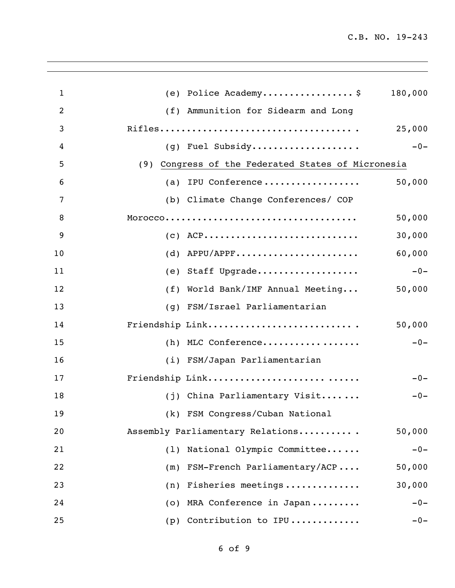| $\mathbf{1}$   | (e) Police Academy\$                               | 180,000 |
|----------------|----------------------------------------------------|---------|
| $\overline{2}$ | (f) Ammunition for Sidearm and Long                |         |
| 3              |                                                    | 25,000  |
| 4              | (g) Fuel Subsidy                                   | $-0-$   |
| 5              | (9) Congress of the Federated States of Micronesia |         |
| 6              | (a) IPU Conference                                 | 50,000  |
| 7              | (b) Climate Change Conferences/ COP                |         |
| 8              |                                                    | 50,000  |
| 9              | $(C)$ ACP                                          | 30,000  |
| 10             | $(d)$ APPU/APPF                                    | 60,000  |
| 11             | (e) Staff Upgrade                                  | $-0-$   |
| 12             | World Bank/IMF Annual Meeting<br>(f)               | 50,000  |
| 13             | (q) FSM/Israel Parliamentarian                     |         |
| 14             | Friendship Link                                    | 50,000  |
| 15             | $(h)$ MLC Conference                               | $-0-$   |
| 16             | (i) FSM/Japan Parliamentarian                      |         |
| 17             | Friendship Link                                    | $-0-$   |
| 18             | (j) China Parliamentary Visit                      | $-0-$   |
| 19             | (k) FSM Congress/Cuban National                    |         |
| 20             | Assembly Parliamentary Relations                   | 50,000  |
| 21             | National Olympic Committee<br>(1)                  | $-0-$   |
| 22             | FSM-French Parliamentary/ACP<br>(m)                | 50,000  |
| 23             | Fisheries meetings<br>(n)                          | 30,000  |
| 24             | MRA Conference in Japan<br>(0)                     | $-0-$   |
| 25             | Contribution to IPU<br>(p)                         | $-0-$   |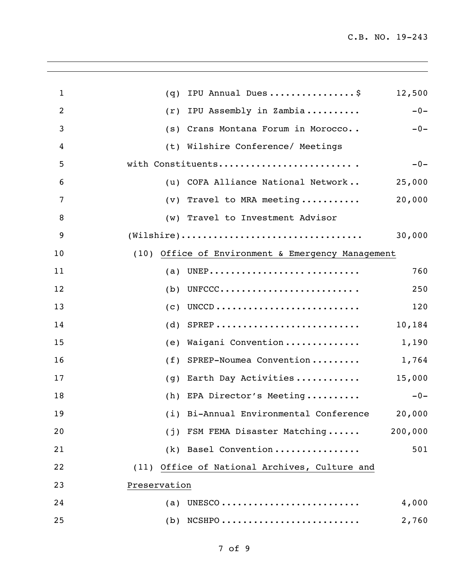| $\mathbf 1$    | IPU Annual Dues\$<br>12,500<br>(q)                                                                |
|----------------|---------------------------------------------------------------------------------------------------|
| $\overline{c}$ | $-0-$<br>IPU Assembly in Zambia<br>(r)                                                            |
| 3              | Crans Montana Forum in Morocco<br>$-0-$<br>(s)                                                    |
| 4              | (t) Wilshire Conference/ Meetings                                                                 |
| 5              | with Constituents<br>$-0-$                                                                        |
| 6              | COFA Alliance National Network<br>25,000<br>(u)                                                   |
| 7              | 20,000<br>Travel to MRA meeting<br>(v)                                                            |
| 8              | Travel to Investment Advisor<br>(w)                                                               |
| 9              | $(\texttt{Wilshire}) \dots \dots \dots \dots \dots \dots \dots \dots \dots \dots \dots$<br>30,000 |
| 10             | (10) Office of Environment & Emergency Management                                                 |
| 11             | 760<br>(a)                                                                                        |
| 12             | UNFCCC<br>(b)<br>250                                                                              |
| 13             | 120<br>(c)                                                                                        |
| 14             | $SPREP$<br>10,184<br>(d)                                                                          |
| 15             | Waigani Convention<br>1,190<br>(e)                                                                |
| 16             | SPREP-Noumea Convention<br>(f)<br>1,764                                                           |
| 17             | 15,000<br>Earth Day Activities<br>(q)                                                             |
| 18             | (h) EPA Director's Meeting<br>$-0-$                                                               |
| 19             | (i) Bi-Annual Environmental Conference<br>20,000                                                  |
| 20             | (j) FSM FEMA Disaster Matching<br>200,000                                                         |
| 21             | 501<br>(k) Basel Convention                                                                       |
| 22             | (11) Office of National Archives, Culture and                                                     |
| 23             | Preservation                                                                                      |
| 24             | 4,000<br>(a)                                                                                      |
| 25             | $(b)$ NCSHPO<br>2,760                                                                             |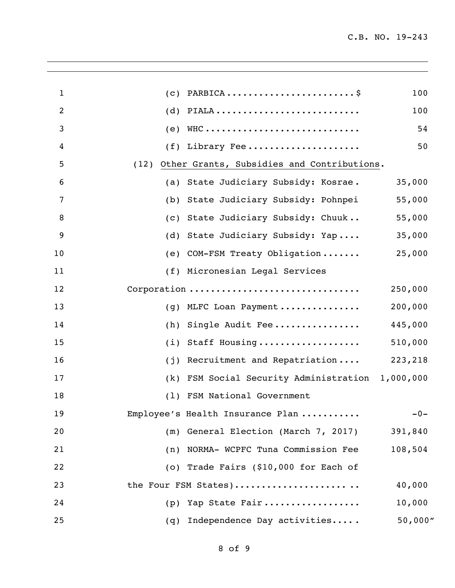| $\mathbf{1}$   | (C)  | PARBICA                                      | 100      |
|----------------|------|----------------------------------------------|----------|
| $\overline{c}$ | (d)  | PIALA                                        | 100      |
| 3              | (e)  |                                              | 54       |
| 4              | (f)  | Library Fee                                  | 50       |
| 5              | (12) | Other Grants, Subsidies and Contributions.   |          |
| 6              | (a)  | State Judiciary Subsidy: Kosrae.             | 35,000   |
| 7              | (b)  | State Judiciary Subsidy: Pohnpei             | 55,000   |
| 8              | (C)  | State Judiciary Subsidy: Chuuk               | 55,000   |
| 9              | (d)  | State Judiciary Subsidy: Yap                 | 35,000   |
| 10             | (e)  | COM-FSM Treaty Obligation                    | 25,000   |
| 11             |      | (f) Micronesian Legal Services               |          |
| 12             |      | Corporation                                  | 250,000  |
| 13             | (q)  | MLFC Loan Payment                            | 200,000  |
| 14             | (h)  | Single Audit Fee                             | 445,000  |
| 15             | (i)  | Staff Housing                                | 510,000  |
| 16             | (i)  | Recruitment and Repatriation                 | 223,218  |
| 17             | (k)  | FSM Social Security Administration 1,000,000 |          |
| 18             | (1)  | FSM National Government                      |          |
| 19             |      | Employee's Health Insurance Plan             | $-0-$    |
| 20             | (m)  | General Election (March 7, 2017)             | 391,840  |
| 21             |      | (n) NORMA- WCPFC Tuna Commission Fee         | 108,504  |
| 22             |      | (o) Trade Fairs (\$10,000 for Each of        |          |
| 23             |      | the Four FSM States)                         | 40,000   |
| 24             | (p)  | Yap State Fair                               | 10,000   |
| 25             | (q)  | Independence Day activities                  | 50,000'' |
|                |      |                                              |          |